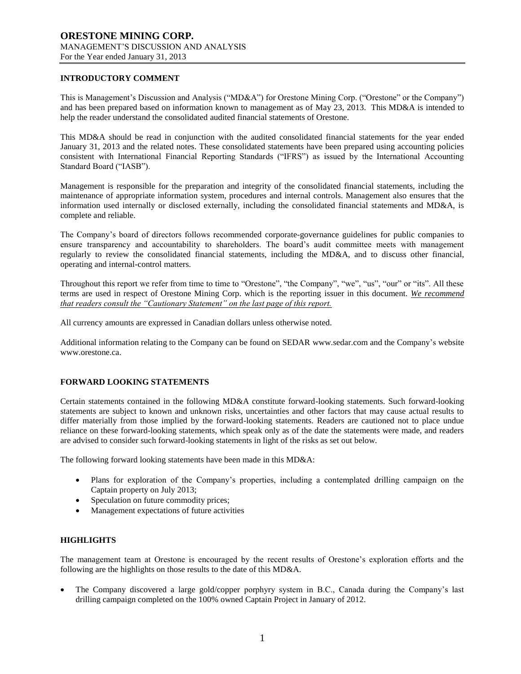## **INTRODUCTORY COMMENT**

This is Management's Discussion and Analysis ("MD&A") for Orestone Mining Corp. ("Orestone" or the Company") and has been prepared based on information known to management as of May 23, 2013. This MD&A is intended to help the reader understand the consolidated audited financial statements of Orestone.

This MD&A should be read in conjunction with the audited consolidated financial statements for the year ended January 31, 2013 and the related notes. These consolidated statements have been prepared using accounting policies consistent with International Financial Reporting Standards ("IFRS") as issued by the International Accounting Standard Board ("IASB").

Management is responsible for the preparation and integrity of the consolidated financial statements, including the maintenance of appropriate information system, procedures and internal controls. Management also ensures that the information used internally or disclosed externally, including the consolidated financial statements and MD&A, is complete and reliable.

The Company's board of directors follows recommended corporate-governance guidelines for public companies to ensure transparency and accountability to shareholders. The board's audit committee meets with management regularly to review the consolidated financial statements, including the MD&A, and to discuss other financial, operating and internal-control matters.

Throughout this report we refer from time to time to "Orestone", "the Company", "we", "us", "our" or "its". All these terms are used in respect of Orestone Mining Corp. which is the reporting issuer in this document. *We recommend that readers consult the "Cautionary Statement" on the last page of this report.*

All currency amounts are expressed in Canadian dollars unless otherwise noted.

Additional information relating to the Company can be found on SEDAR www.sedar.com and the Company's website www.orestone.ca.

#### **FORWARD LOOKING STATEMENTS**

Certain statements contained in the following MD&A constitute forward-looking statements. Such forward-looking statements are subject to known and unknown risks, uncertainties and other factors that may cause actual results to differ materially from those implied by the forward-looking statements. Readers are cautioned not to place undue reliance on these forward-looking statements, which speak only as of the date the statements were made, and readers are advised to consider such forward-looking statements in light of the risks as set out below.

The following forward looking statements have been made in this MD&A:

- Plans for exploration of the Company's properties, including a contemplated drilling campaign on the Captain property on July 2013;
- Speculation on future commodity prices;
- Management expectations of future activities

## **HIGHLIGHTS**

The management team at Orestone is encouraged by the recent results of Orestone's exploration efforts and the following are the highlights on those results to the date of this MD&A.

 The Company discovered a large gold/copper porphyry system in B.C., Canada during the Company's last drilling campaign completed on the 100% owned Captain Project in January of 2012.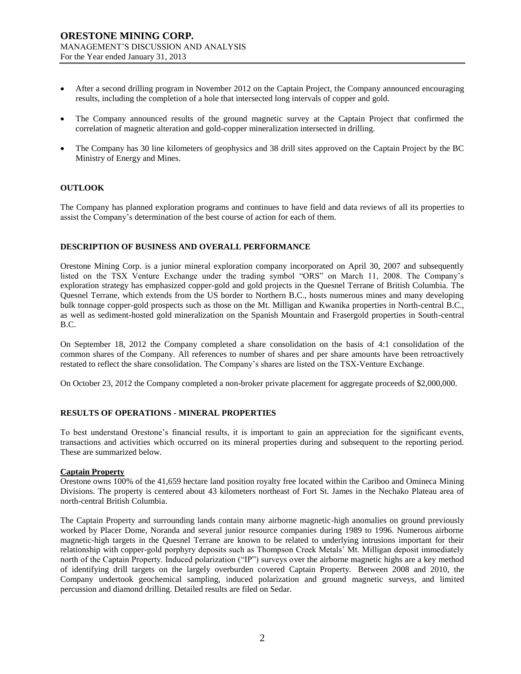- After a second drilling program in November 2012 on the Captain Project, the Company announced encouraging results, including the completion of a hole that intersected long intervals of copper and gold.
- The Company announced results of the ground magnetic survey at the Captain Project that confirmed the correlation of magnetic alteration and gold-copper mineralization intersected in drilling.
- The Company has 30 line kilometers of geophysics and 38 drill sites approved on the Captain Project by the BC Ministry of Energy and Mines.

#### **OUTLOOK**

The Company has planned exploration programs and continues to have field and data reviews of all its properties to assist the Company's determination of the best course of action for each of them.

#### **DESCRIPTION OF BUSINESS AND OVERALL PERFORMANCE**

Orestone Mining Corp. is a junior mineral exploration company incorporated on April 30, 2007 and subsequently listed on the TSX Venture Exchange under the trading symbol "ORS" on March 11, 2008. The Company's exploration strategy has emphasized copper-gold and gold projects in the Quesnel Terrane of British Columbia. The Quesnel Terrane, which extends from the US border to Northern B.C., hosts numerous mines and many developing bulk tonnage copper-gold prospects such as those on the Mt. Milligan and Kwanika properties in North-central B.C., as well as sediment-hosted gold mineralization on the Spanish Mountain and Frasergold properties in South-central B.C.

On September 18, 2012 the Company completed a share consolidation on the basis of 4:1 consolidation of the common shares of the Company. All references to number of shares and per share amounts have been retroactively restated to reflect the share consolidation. The Company's shares are listed on the TSX-Venture Exchange.

On October 23, 2012 the Company completed a non-broker private placement for aggregate proceeds of \$2,000,000.

#### **RESULTS OF OPERATIONS - MINERAL PROPERTIES**

To best understand Orestone's financial results, it is important to gain an appreciation for the significant events, transactions and activities which occurred on its mineral properties during and subsequent to the reporting period. These are summarized below.

#### **Captain Property**

Orestone owns 100% of the 41,659 hectare land position royalty free located within the Cariboo and Omineca Mining Divisions. The property is centered about 43 kilometers northeast of Fort St. James in the Nechako Plateau area of north-central British Columbia.

The Captain Property and surrounding lands contain many airborne magnetic-high anomalies on ground previously worked by Placer Dome, Noranda and several junior resource companies during 1989 to 1996. Numerous airborne magnetic-high targets in the Quesnel Terrane are known to be related to underlying intrusions important for their relationship with copper-gold porphyry deposits such as Thompson Creek Metals' Mt. Milligan deposit immediately north of the Captain Property. Induced polarization ("IP") surveys over the airborne magnetic highs are a key method of identifying drill targets on the largely overburden covered Captain Property. Between 2008 and 2010, the Company undertook geochemical sampling, induced polarization and ground magnetic surveys, and limited percussion and diamond drilling. Detailed results are filed on Sedar.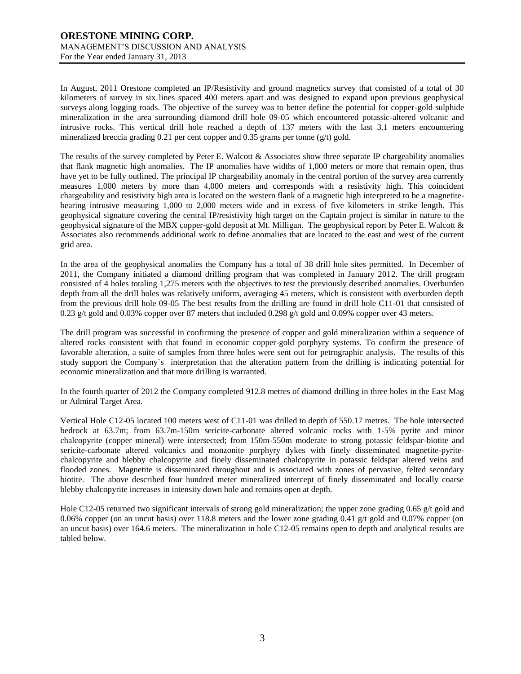## **ORESTONE MINING CORP.** MANAGEMENT'S DISCUSSION AND ANALYSIS For the Year ended January 31, 2013

In August, 2011 Orestone completed an IP/Resistivity and ground magnetics survey that consisted of a total of 30 kilometers of survey in six lines spaced 400 meters apart and was designed to expand upon previous geophysical surveys along logging roads. The objective of the survey was to better define the potential for copper-gold sulphide mineralization in the area surrounding diamond drill hole 09-05 which encountered potassic-altered volcanic and intrusive rocks. This vertical drill hole reached a depth of 137 meters with the last 3.1 meters encountering mineralized breccia grading 0.21 per cent copper and 0.35 grams per tonne (g/t) gold.

The results of the survey completed by Peter E. Walcott & Associates show three separate IP chargeability anomalies that flank magnetic high anomalies. The IP anomalies have widths of 1,000 meters or more that remain open, thus have yet to be fully outlined. The principal IP chargeability anomaly in the central portion of the survey area currently measures 1,000 meters by more than 4,000 meters and corresponds with a resistivity high. This coincident chargeability and resistivity high area is located on the western flank of a magnetic high interpreted to be a magnetitebearing intrusive measuring 1,000 to 2,000 meters wide and in excess of five kilometers in strike length. This geophysical signature covering the central IP/resistivity high target on the Captain project is similar in nature to the geophysical signature of the MBX copper-gold deposit at Mt. Milligan. The geophysical report by Peter E. Walcott & Associates also recommends additional work to define anomalies that are located to the east and west of the current grid area.

In the area of the geophysical anomalies the Company has a total of 38 drill hole sites permitted. In December of 2011, the Company initiated a diamond drilling program that was completed in January 2012. The drill program consisted of 4 holes totaling 1,275 meters with the objectives to test the previously described anomalies. Overburden depth from all the drill holes was relatively uniform, averaging 45 meters, which is consistent with overburden depth from the previous drill hole 09-05 The best results from the drilling are found in drill hole C11-01 that consisted of 0.23 g/t gold and 0.03% copper over 87 meters that included 0.298 g/t gold and 0.09% copper over 43 meters.

The drill program was successful in confirming the presence of copper and gold mineralization within a sequence of altered rocks consistent with that found in economic copper-gold porphyry systems. To confirm the presence of favorable alteration, a suite of samples from three holes were sent out for petrographic analysis. The results of this study support the Company`s interpretation that the alteration pattern from the drilling is indicating potential for economic mineralization and that more drilling is warranted.

In the fourth quarter of 2012 the Company completed 912.8 metres of diamond drilling in three holes in the East Mag or Admiral Target Area.

Vertical Hole C12-05 located 100 meters west of C11-01 was drilled to depth of 550.17 metres. The hole intersected bedrock at 63.7m; from 63.7m-150m sericite-carbonate altered volcanic rocks with 1-5% pyrite and minor chalcopyrite (copper mineral) were intersected; from 150m-550m moderate to strong potassic feldspar-biotite and sericite-carbonate altered volcanics and monzonite porphyry dykes with finely disseminated magnetite-pyritechalcopyrite and blebby chalcopyrite and finely disseminated chalcopyrite in potassic feldspar altered veins and flooded zones. Magnetite is disseminated throughout and is associated with zones of pervasive, felted secondary biotite. The above described four hundred meter mineralized intercept of finely disseminated and locally coarse blebby chalcopyrite increases in intensity down hole and remains open at depth.

Hole C12-05 returned two significant intervals of strong gold mineralization; the upper zone grading 0.65 g/t gold and 0.06% copper (on an uncut basis) over 118.8 meters and the lower zone grading 0.41 g/t gold and 0.07% copper (on an uncut basis) over 164.6 meters. The mineralization in hole C12-05 remains open to depth and analytical results are tabled below.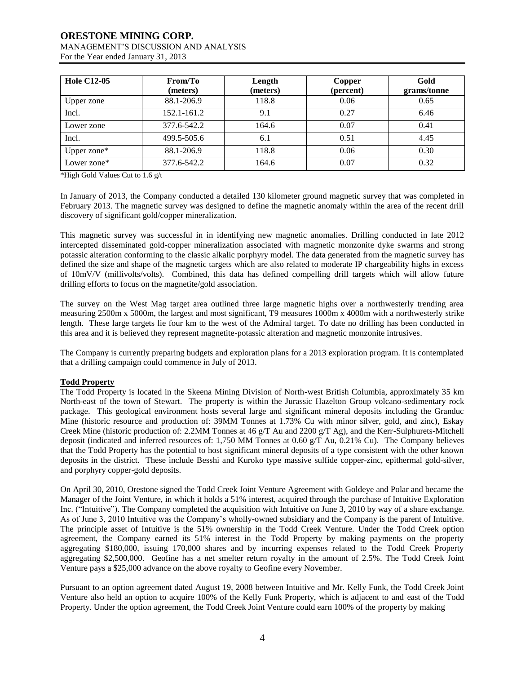For the Year ended January 31, 2013

| <b>Hole C12-05</b> | From/To<br>(meters) | Length<br>(meters) | Copper<br>(percent) | Gold<br>grams/tonne |
|--------------------|---------------------|--------------------|---------------------|---------------------|
| Upper zone         | 88.1-206.9          | 118.8              | 0.06                | 0.65                |
| Incl.              | 152.1-161.2         | 9.1                | 0.27                | 6.46                |
| Lower zone         | 377.6-542.2         | 164.6              | 0.07                | 0.41                |
| Incl.              | 499.5-505.6         | 6.1                | 0.51                | 4.45                |
| Upper zone*        | 88.1-206.9          | 118.8              | 0.06                | 0.30                |
| Lower zone*        | 377.6-542.2         | 164.6              | 0.07                | 0.32                |

\*High Gold Values Cut to 1.6 g/t

In January of 2013, the Company conducted a detailed 130 kilometer ground magnetic survey that was completed in February 2013. The magnetic survey was designed to define the magnetic anomaly within the area of the recent drill discovery of significant gold/copper mineralization.

This magnetic survey was successful in in identifying new magnetic anomalies. Drilling conducted in late 2012 intercepted disseminated gold-copper mineralization associated with magnetic monzonite dyke swarms and strong potassic alteration conforming to the classic alkalic porphyry model. The data generated from the magnetic survey has defined the size and shape of the magnetic targets which are also related to moderate IP chargeability highs in excess of 10mV/V (millivolts/volts). Combined, this data has defined compelling drill targets which will allow future drilling efforts to focus on the magnetite/gold association.

The survey on the West Mag target area outlined three large magnetic highs over a northwesterly trending area measuring 2500m x 5000m, the largest and most significant, T9 measures 1000m x 4000m with a northwesterly strike length. These large targets lie four km to the west of the Admiral target. To date no drilling has been conducted in this area and it is believed they represent magnetite-potassic alteration and magnetic monzonite intrusives.

The Company is currently preparing budgets and exploration plans for a 2013 exploration program. It is contemplated that a drilling campaign could commence in July of 2013.

## **Todd Property**

The Todd Property is located in the Skeena Mining Division of North-west British Columbia, approximately 35 km North-east of the town of Stewart. The property is within the Jurassic Hazelton Group volcano-sedimentary rock package. This geological environment hosts several large and significant mineral deposits including the Granduc Mine (historic resource and production of: 39MM Tonnes at 1.73% Cu with minor silver, gold, and zinc), Eskay Creek Mine (historic production of: 2.2MM Tonnes at 46 g/T Au and 2200 g/T Ag), and the Kerr-Sulphurets-Mitchell deposit (indicated and inferred resources of: 1,750 MM Tonnes at 0.60  $g/T$  Au, 0.21% Cu). The Company believes that the Todd Property has the potential to host significant mineral deposits of a type consistent with the other known deposits in the district. These include Besshi and Kuroko type massive sulfide copper-zinc, epithermal gold-silver, and porphyry copper-gold deposits.

On April 30, 2010, Orestone signed the Todd Creek Joint Venture Agreement with Goldeye and Polar and became the Manager of the Joint Venture, in which it holds a 51% interest, acquired through the purchase of Intuitive Exploration Inc. ("Intuitive"). The Company completed the acquisition with Intuitive on June 3, 2010 by way of a share exchange. As of June 3, 2010 Intuitive was the Company's wholly-owned subsidiary and the Company is the parent of Intuitive. The principle asset of Intuitive is the 51% ownership in the Todd Creek Venture. Under the Todd Creek option agreement, the Company earned its 51% interest in the Todd Property by making payments on the property aggregating \$180,000, issuing 170,000 shares and by incurring expenses related to the Todd Creek Property aggregating \$2,500,000. Geofine has a net smelter return royalty in the amount of 2.5%. The Todd Creek Joint Venture pays a \$25,000 advance on the above royalty to Geofine every November.

Pursuant to an option agreement dated August 19, 2008 between Intuitive and Mr. Kelly Funk, the Todd Creek Joint Venture also held an option to acquire 100% of the Kelly Funk Property, which is adjacent to and east of the Todd Property. Under the option agreement, the Todd Creek Joint Venture could earn 100% of the property by making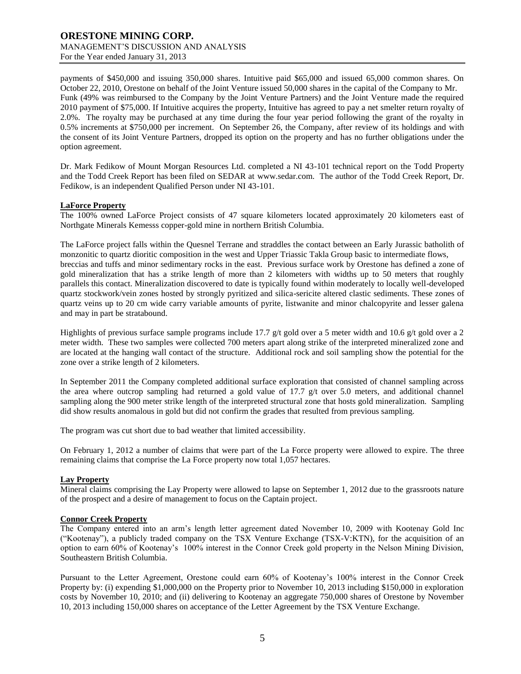payments of \$450,000 and issuing 350,000 shares. Intuitive paid \$65,000 and issued 65,000 common shares. On October 22, 2010, Orestone on behalf of the Joint Venture issued 50,000 shares in the capital of the Company to Mr. Funk (49% was reimbursed to the Company by the Joint Venture Partners) and the Joint Venture made the required 2010 payment of \$75,000. If Intuitive acquires the property, Intuitive has agreed to pay a net smelter return royalty of 2.0%. The royalty may be purchased at any time during the four year period following the grant of the royalty in 0.5% increments at \$750,000 per increment. On September 26, the Company, after review of its holdings and with the consent of its Joint Venture Partners, dropped its option on the property and has no further obligations under the option agreement.

Dr. Mark Fedikow of Mount Morgan Resources Ltd. completed a NI 43-101 technical report on the Todd Property and the Todd Creek Report has been filed on SEDAR at [www.sedar.com.](http://www.sedar.com/) The author of the Todd Creek Report, Dr. Fedikow, is an independent Qualified Person under NI 43-101.

## **LaForce Property**

The 100% owned LaForce Project consists of 47 square kilometers located approximately 20 kilometers east of Northgate Minerals Kemesss copper-gold mine in northern British Columbia.

The LaForce project falls within the Quesnel Terrane and straddles the contact between an Early Jurassic batholith of monzonitic to quartz dioritic composition in the west and Upper Triassic Takla Group basic to intermediate flows, breccias and tuffs and minor sedimentary rocks in the east. Previous surface work by Orestone has defined a zone of gold mineralization that has a strike length of more than 2 kilometers with widths up to 50 meters that roughly parallels this contact. Mineralization discovered to date is typically found within moderately to locally well-developed quartz stockwork/vein zones hosted by strongly pyritized and silica-sericite altered clastic sediments. These zones of quartz veins up to 20 cm wide carry variable amounts of pyrite, listwanite and minor chalcopyrite and lesser galena and may in part be stratabound.

Highlights of previous surface sample programs include 17.7 g/t gold over a 5 meter width and 10.6 g/t gold over a 2 meter width. These two samples were collected 700 meters apart along strike of the interpreted mineralized zone and are located at the hanging wall contact of the structure. Additional rock and soil sampling show the potential for the zone over a strike length of 2 kilometers.

In September 2011 the Company completed additional surface exploration that consisted of channel sampling across the area where outcrop sampling had returned a gold value of 17.7 g/t over 5.0 meters, and additional channel sampling along the 900 meter strike length of the interpreted structural zone that hosts gold mineralization. Sampling did show results anomalous in gold but did not confirm the grades that resulted from previous sampling.

The program was cut short due to bad weather that limited accessibility.

On February 1, 2012 a number of claims that were part of the La Force property were allowed to expire. The three remaining claims that comprise the La Force property now total 1,057 hectares.

## **Lay Property**

Mineral claims comprising the Lay Property were allowed to lapse on September 1, 2012 due to the grassroots nature of the prospect and a desire of management to focus on the Captain project.

#### **Connor Creek Property**

The Company entered into an arm's length letter agreement dated November 10, 2009 with Kootenay Gold Inc ("Kootenay"), a publicly traded company on the TSX Venture Exchange (TSX-V:KTN), for the acquisition of an option to earn 60% of Kootenay's 100% interest in the Connor Creek gold property in the Nelson Mining Division, Southeastern British Columbia.

Pursuant to the Letter Agreement, Orestone could earn 60% of Kootenay's 100% interest in the Connor Creek Property by: (i) expending \$1,000,000 on the Property prior to November 10, 2013 including \$150,000 in exploration costs by November 10, 2010; and (ii) delivering to Kootenay an aggregate 750,000 shares of Orestone by November 10, 2013 including 150,000 shares on acceptance of the Letter Agreement by the TSX Venture Exchange.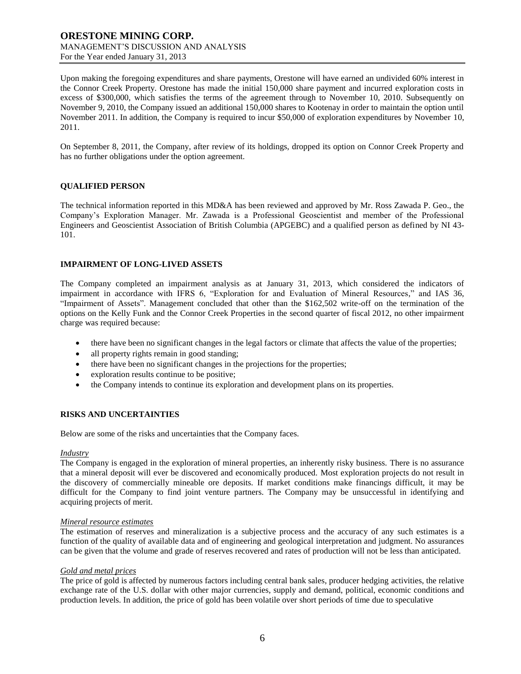Upon making the foregoing expenditures and share payments, Orestone will have earned an undivided 60% interest in the Connor Creek Property. Orestone has made the initial 150,000 share payment and incurred exploration costs in excess of \$300,000, which satisfies the terms of the agreement through to November 10, 2010. Subsequently on November 9, 2010, the Company issued an additional 150,000 shares to Kootenay in order to maintain the option until November 2011. In addition, the Company is required to incur \$50,000 of exploration expenditures by November 10, 2011.

On September 8, 2011, the Company, after review of its holdings, dropped its option on Connor Creek Property and has no further obligations under the option agreement.

#### **QUALIFIED PERSON**

The technical information reported in this MD&A has been reviewed and approved by Mr. Ross Zawada P. Geo., the Company's Exploration Manager. Mr. Zawada is a Professional Geoscientist and member of the Professional Engineers and Geoscientist Association of British Columbia (APGEBC) and a qualified person as defined by NI 43- 101.

#### **IMPAIRMENT OF LONG-LIVED ASSETS**

The Company completed an impairment analysis as at January 31, 2013, which considered the indicators of impairment in accordance with IFRS 6, "Exploration for and Evaluation of Mineral Resources," and IAS 36, "Impairment of Assets". Management concluded that other than the \$162,502 write-off on the termination of the options on the Kelly Funk and the Connor Creek Properties in the second quarter of fiscal 2012, no other impairment charge was required because:

- there have been no significant changes in the legal factors or climate that affects the value of the properties;
- all property rights remain in good standing;
- there have been no significant changes in the projections for the properties;
- exploration results continue to be positive;
- the Company intends to continue its exploration and development plans on its properties.

#### **RISKS AND UNCERTAINTIES**

Below are some of the risks and uncertainties that the Company faces.

#### *Industry*

The Company is engaged in the exploration of mineral properties, an inherently risky business. There is no assurance that a mineral deposit will ever be discovered and economically produced. Most exploration projects do not result in the discovery of commercially mineable ore deposits. If market conditions make financings difficult, it may be difficult for the Company to find joint venture partners. The Company may be unsuccessful in identifying and acquiring projects of merit.

#### *Mineral resource estimates*

The estimation of reserves and mineralization is a subjective process and the accuracy of any such estimates is a function of the quality of available data and of engineering and geological interpretation and judgment. No assurances can be given that the volume and grade of reserves recovered and rates of production will not be less than anticipated.

#### *Gold and metal prices*

The price of gold is affected by numerous factors including central bank sales, producer hedging activities, the relative exchange rate of the U.S. dollar with other major currencies, supply and demand, political, economic conditions and production levels. In addition, the price of gold has been volatile over short periods of time due to speculative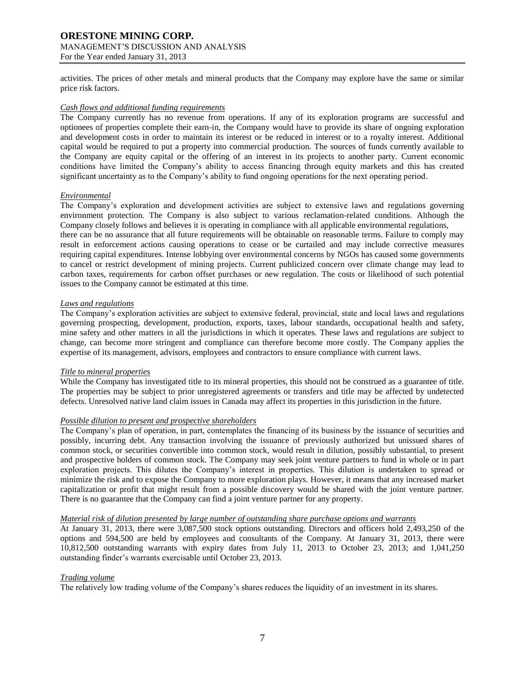For the Year ended January 31, 2013

activities. The prices of other metals and mineral products that the Company may explore have the same or similar price risk factors.

#### *Cash flows and additional funding requirements*

The Company currently has no revenue from operations. If any of its exploration programs are successful and optionees of properties complete their earn-in, the Company would have to provide its share of ongoing exploration and development costs in order to maintain its interest or be reduced in interest or to a royalty interest. Additional capital would be required to put a property into commercial production. The sources of funds currently available to the Company are equity capital or the offering of an interest in its projects to another party. Current economic conditions have limited the Company's ability to access financing through equity markets and this has created significant uncertainty as to the Company's ability to fund ongoing operations for the next operating period.

#### *Environmental*

The Company's exploration and development activities are subject to extensive laws and regulations governing environment protection. The Company is also subject to various reclamation-related conditions. Although the Company closely follows and believes it is operating in compliance with all applicable environmental regulations, there can be no assurance that all future requirements will be obtainable on reasonable terms. Failure to comply may result in enforcement actions causing operations to cease or be curtailed and may include corrective measures requiring capital expenditures. Intense lobbying over environmental concerns by NGOs has caused some governments to cancel or restrict development of mining projects. Current publicized concern over climate change may lead to carbon taxes, requirements for carbon offset purchases or new regulation. The costs or likelihood of such potential issues to the Company cannot be estimated at this time.

#### *Laws and regulations*

The Company's exploration activities are subject to extensive federal, provincial, state and local laws and regulations governing prospecting, development, production, exports, taxes, labour standards, occupational health and safety, mine safety and other matters in all the jurisdictions in which it operates. These laws and regulations are subject to change, can become more stringent and compliance can therefore become more costly. The Company applies the expertise of its management, advisors, employees and contractors to ensure compliance with current laws.

#### *Title to mineral properties*

While the Company has investigated title to its mineral properties, this should not be construed as a guarantee of title. The properties may be subject to prior unregistered agreements or transfers and title may be affected by undetected defects. Unresolved native land claim issues in Canada may affect its properties in this jurisdiction in the future.

## *Possible dilution to present and prospective shareholders*

The Company's plan of operation, in part, contemplates the financing of its business by the issuance of securities and possibly, incurring debt. Any transaction involving the issuance of previously authorized but unissued shares of common stock, or securities convertible into common stock, would result in dilution, possibly substantial, to present and prospective holders of common stock. The Company may seek joint venture partners to fund in whole or in part exploration projects. This dilutes the Company's interest in properties. This dilution is undertaken to spread or minimize the risk and to expose the Company to more exploration plays. However, it means that any increased market capitalization or profit that might result from a possible discovery would be shared with the joint venture partner. There is no guarantee that the Company can find a joint venture partner for any property.

#### *Material risk of dilution presented by large number of outstanding share purchase options and warrants*

At January 31, 2013, there were 3,087,500 stock options outstanding. Directors and officers hold 2,493,250 of the options and 594,500 are held by employees and consultants of the Company. At January 31, 2013, there were 10,812,500 outstanding warrants with expiry dates from July 11, 2013 to October 23, 2013; and 1,041,250 outstanding finder's warrants exercisable until October 23, 2013.

## *Trading volume*

The relatively low trading volume of the Company's shares reduces the liquidity of an investment in its shares.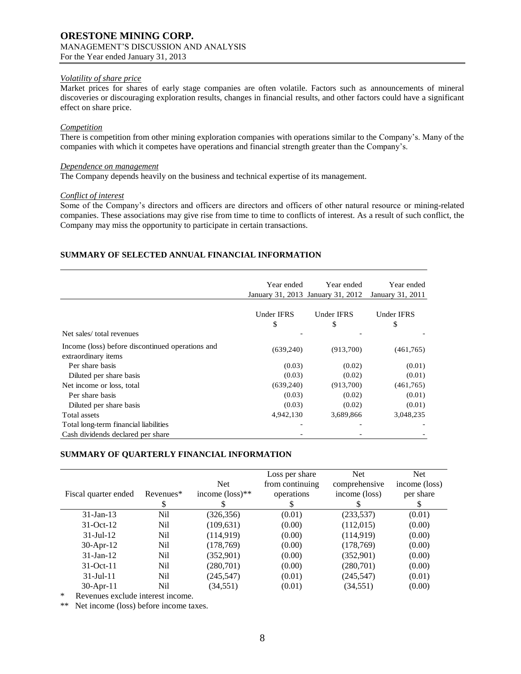#### *Volatility of share price*

Market prices for shares of early stage companies are often volatile. Factors such as announcements of mineral discoveries or discouraging exploration results, changes in financial results, and other factors could have a significant effect on share price.

#### *Competition*

There is competition from other mining exploration companies with operations similar to the Company's. Many of the companies with which it competes have operations and financial strength greater than the Company's.

#### *Dependence on management*

The Company depends heavily on the business and technical expertise of its management.

#### *Conflict of interest*

Some of the Company's directors and officers are directors and officers of other natural resource or mining-related companies. These associations may give rise from time to time to conflicts of interest. As a result of such conflict, the Company may miss the opportunity to participate in certain transactions.

## **SUMMARY OF SELECTED ANNUAL FINANCIAL INFORMATION**

|                                                                         | Year ended       | Year ended<br>January 31, 2013 January 31, 2012 | Year ended<br>January 31, 2011 |
|-------------------------------------------------------------------------|------------------|-------------------------------------------------|--------------------------------|
| Net sales/total revenues                                                | Under IFRS<br>\$ | Under IFRS<br>\$                                | <b>Under IFRS</b><br>\$        |
| Income (loss) before discontinued operations and<br>extraordinary items | (639,240)        | (913,700)                                       | (461,765)                      |
| Per share basis                                                         | (0.03)           | (0.02)                                          | (0.01)                         |
| Diluted per share basis                                                 | (0.03)           | (0.02)                                          | (0.01)                         |
| Net income or loss, total                                               | (639,240)        | (913,700)                                       | (461,765)                      |
| Per share basis                                                         | (0.03)           | (0.02)                                          | (0.01)                         |
| Diluted per share basis                                                 | (0.03)           | (0.02)                                          | (0.01)                         |
| Total assets                                                            | 4,942,130        | 3,689,866                                       | 3,048,235                      |
| Total long-term financial liabilities                                   |                  |                                                 |                                |
| Cash dividends declared per share                                       |                  |                                                 |                                |

## **SUMMARY OF QUARTERLY FINANCIAL INFORMATION**

| Fiscal quarter ended | Revenues*<br>S | <b>Net</b><br>income $(\text{loss})^{**}$ | Loss per share<br>from continuing<br>operations | <b>Net</b><br>comprehensive<br>income (loss) | <b>Net</b><br>income (loss)<br>per share<br>S |
|----------------------|----------------|-------------------------------------------|-------------------------------------------------|----------------------------------------------|-----------------------------------------------|
| $31$ -Jan-13         | Nil            | (326, 356)                                | (0.01)                                          | (233, 537)                                   | (0.01)                                        |
| $31-Oct-12$          | Nil            | (109, 631)                                | (0.00)                                          | (112,015)                                    | (0.00)                                        |
| $31$ -Jul-12         | Nil            | (114, 919)                                | (0.00)                                          | (114, 919)                                   | (0.00)                                        |
| $30$ -Apr-12         | Nil            | (178, 769)                                | (0.00)                                          | (178, 769)                                   | (0.00)                                        |
| $31$ -Jan-12         | Nil            | (352,901)                                 | (0.00)                                          | (352, 901)                                   | (0.00)                                        |
| $31-Oct-11$          | Nil            | (280,701)                                 | (0.00)                                          | (280,701)                                    | (0.00)                                        |
| $31 -$ Jul $-11$     | Nil            | (245, 547)                                | (0.01)                                          | (245, 547)                                   | (0.01)                                        |
| $30$ -Apr-11         | Nil            | (34, 551)                                 | (0.01)                                          | (34, 551)                                    | (0.00)                                        |

Revenues exclude interest income.

\*\* Net income (loss) before income taxes.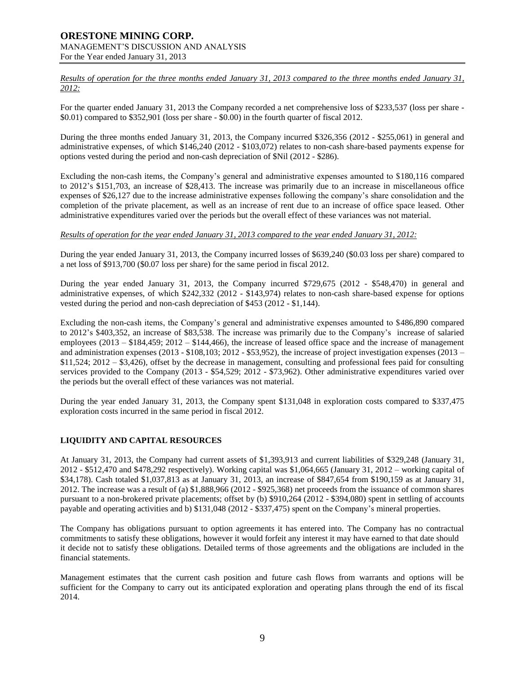*Results of operation for the three months ended January 31, 2013 compared to the three months ended January 31, 2012:*

For the quarter ended January 31, 2013 the Company recorded a net comprehensive loss of \$233,537 (loss per share -\$0.01) compared to \$352,901 (loss per share - \$0.00) in the fourth quarter of fiscal 2012.

During the three months ended January 31, 2013, the Company incurred \$326,356 (2012 - \$255,061) in general and administrative expenses, of which \$146,240 (2012 - \$103,072) relates to non-cash share-based payments expense for options vested during the period and non-cash depreciation of \$Nil (2012 - \$286).

Excluding the non-cash items, the Company's general and administrative expenses amounted to \$180,116 compared to 2012's \$151,703, an increase of \$28,413. The increase was primarily due to an increase in miscellaneous office expenses of \$26,127 due to the increase administrative expenses following the company's share consolidation and the completion of the private placement, as well as an increase of rent due to an increase of office space leased. Other administrative expenditures varied over the periods but the overall effect of these variances was not material.

*Results of operation for the year ended January 31, 2013 compared to the year ended January 31, 2012:*

During the year ended January 31, 2013, the Company incurred losses of \$639,240 (\$0.03 loss per share) compared to a net loss of \$913,700 (\$0.07 loss per share) for the same period in fiscal 2012.

During the year ended January 31, 2013, the Company incurred \$729,675 (2012 - \$548,470) in general and administrative expenses, of which \$242,332 (2012 - \$143,974) relates to non-cash share-based expense for options vested during the period and non-cash depreciation of \$453 (2012 - \$1,144).

Excluding the non-cash items, the Company's general and administrative expenses amounted to \$486,890 compared to 2012's \$403,352, an increase of \$83,538. The increase was primarily due to the Company's increase of salaried employees (2013 – \$184,459; 2012 – \$144,466), the increase of leased office space and the increase of management and administration expenses  $(2013 - $108,103; 2012 - $53,952)$ , the increase of project investigation expenses  $(2013 -$ \$11,524; 2012 – \$3,426), offset by the decrease in management, consulting and professional fees paid for consulting services provided to the Company (2013 - \$54,529; 2012 - \$73,962). Other administrative expenditures varied over the periods but the overall effect of these variances was not material.

During the year ended January 31, 2013, the Company spent \$131,048 in exploration costs compared to \$337,475 exploration costs incurred in the same period in fiscal 2012.

## **LIQUIDITY AND CAPITAL RESOURCES**

At January 31, 2013, the Company had current assets of \$1,393,913 and current liabilities of \$329,248 (January 31, 2012 - \$512,470 and \$478,292 respectively). Working capital was \$1,064,665 (January 31, 2012 – working capital of \$34,178). Cash totaled \$1,037,813 as at January 31, 2013, an increase of \$847,654 from \$190,159 as at January 31, 2012. The increase was a result of (a) \$1,888,966 (2012 - \$925,368) net proceeds from the issuance of common shares pursuant to a non-brokered private placements; offset by (b) \$910,264 (2012 - \$394,080) spent in settling of accounts payable and operating activities and b) \$131,048 (2012 - \$337,475) spent on the Company's mineral properties.

The Company has obligations pursuant to option agreements it has entered into. The Company has no contractual commitments to satisfy these obligations, however it would forfeit any interest it may have earned to that date should it decide not to satisfy these obligations. Detailed terms of those agreements and the obligations are included in the financial statements.

Management estimates that the current cash position and future cash flows from warrants and options will be sufficient for the Company to carry out its anticipated exploration and operating plans through the end of its fiscal 2014.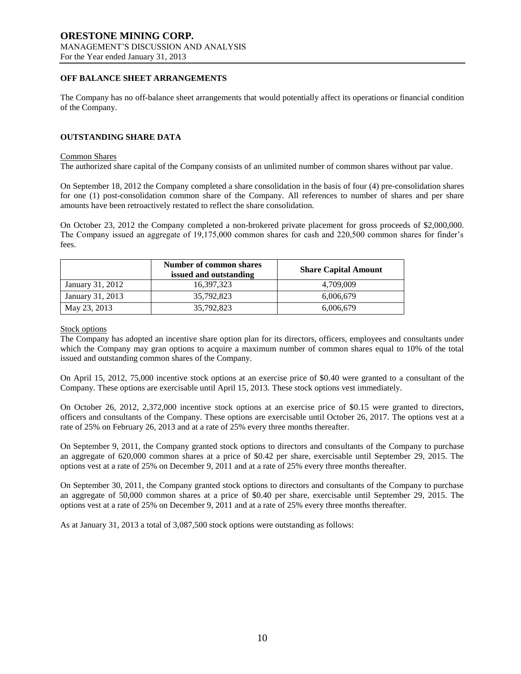## **OFF BALANCE SHEET ARRANGEMENTS**

The Company has no off-balance sheet arrangements that would potentially affect its operations or financial condition of the Company.

#### **OUTSTANDING SHARE DATA**

#### Common Shares

The authorized share capital of the Company consists of an unlimited number of common shares without par value.

On September 18, 2012 the Company completed a share consolidation in the basis of four (4) pre-consolidation shares for one (1) post-consolidation common share of the Company. All references to number of shares and per share amounts have been retroactively restated to reflect the share consolidation.

On October 23, 2012 the Company completed a non-brokered private placement for gross proceeds of \$2,000,000. The Company issued an aggregate of 19,175,000 common shares for cash and 220,500 common shares for finder's fees.

|                  | Number of common shares<br>issued and outstanding | <b>Share Capital Amount</b> |
|------------------|---------------------------------------------------|-----------------------------|
| January 31, 2012 | 16.397.323                                        | 4.709.009                   |
| January 31, 2013 | 35,792,823                                        | 6,006,679                   |
| May 23, 2013     | 35,792,823                                        | 6,006,679                   |

Stock options

The Company has adopted an incentive share option plan for its directors, officers, employees and consultants under which the Company may gran options to acquire a maximum number of common shares equal to 10% of the total issued and outstanding common shares of the Company.

On April 15, 2012, 75,000 incentive stock options at an exercise price of \$0.40 were granted to a consultant of the Company. These options are exercisable until April 15, 2013. These stock options vest immediately.

On October 26, 2012, 2,372,000 incentive stock options at an exercise price of \$0.15 were granted to directors, officers and consultants of the Company. These options are exercisable until October 26, 2017. The options vest at a rate of 25% on February 26, 2013 and at a rate of 25% every three months thereafter.

On September 9, 2011, the Company granted stock options to directors and consultants of the Company to purchase an aggregate of 620,000 common shares at a price of \$0.42 per share, exercisable until September 29, 2015. The options vest at a rate of 25% on December 9, 2011 and at a rate of 25% every three months thereafter.

On September 30, 2011, the Company granted stock options to directors and consultants of the Company to purchase an aggregate of 50,000 common shares at a price of \$0.40 per share, exercisable until September 29, 2015. The options vest at a rate of 25% on December 9, 2011 and at a rate of 25% every three months thereafter.

As at January 31, 2013 a total of 3,087,500 stock options were outstanding as follows: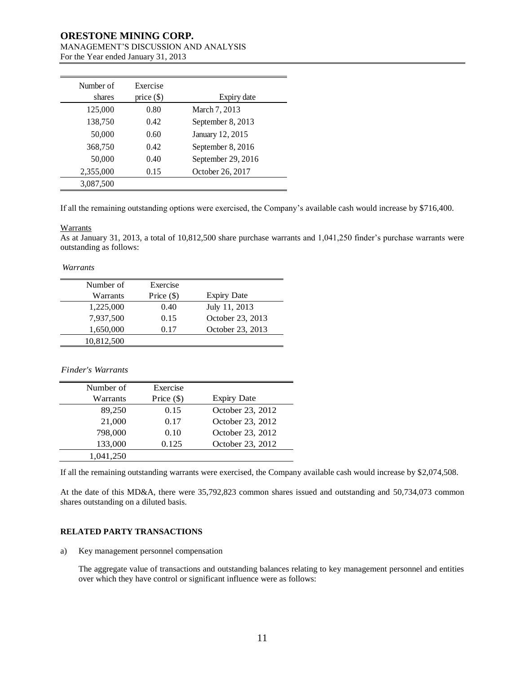## **ORESTONE MINING CORP.**

# MANAGEMENT'S DISCUSSION AND ANALYSIS

For the Year ended January 31, 2013

| Number of<br>shares | Exercise<br>price $(\$)$ | Expiry date        |
|---------------------|--------------------------|--------------------|
| 125,000             | 0.80                     | March 7, 2013      |
| 138,750             | 0.42                     | September 8, 2013  |
| 50,000              | 0.60                     | January 12, 2015   |
| 368,750             | 0.42                     | September 8, 2016  |
| 50,000              | 0.40                     | September 29, 2016 |
| 2,355,000           | 0.15                     | October 26, 2017   |
| 3,087,500           |                          |                    |

If all the remaining outstanding options were exercised, the Company's available cash would increase by \$716,400.

#### **Warrants**

As at January 31, 2013, a total of 10,812,500 share purchase warrants and 1,041,250 finder's purchase warrants were outstanding as follows:

*Warrants*

| Number of  | Exercise     |                    |
|------------|--------------|--------------------|
| Warrants   | Price $(\$)$ | <b>Expiry Date</b> |
| 1,225,000  | 0.40         | July 11, 2013      |
| 7,937,500  | 0.15         | October 23, 2013   |
| 1,650,000  | 0.17         | October 23, 2013   |
| 10,812,500 |              |                    |

*Finder's Warrants*

| Number of | Exercise     |                    |
|-----------|--------------|--------------------|
| Warrants  | Price $(\$)$ | <b>Expiry Date</b> |
| 89,250    | 0.15         | October 23, 2012   |
| 21,000    | 0.17         | October 23, 2012   |
| 798,000   | 0.10         | October 23, 2012   |
| 133,000   | 0.125        | October 23, 2012   |
| 1,041,250 |              |                    |

If all the remaining outstanding warrants were exercised, the Company available cash would increase by \$2,074,508.

At the date of this MD&A, there were 35,792,823 common shares issued and outstanding and 50,734,073 common shares outstanding on a diluted basis.

## **RELATED PARTY TRANSACTIONS**

a) Key management personnel compensation

The aggregate value of transactions and outstanding balances relating to key management personnel and entities over which they have control or significant influence were as follows: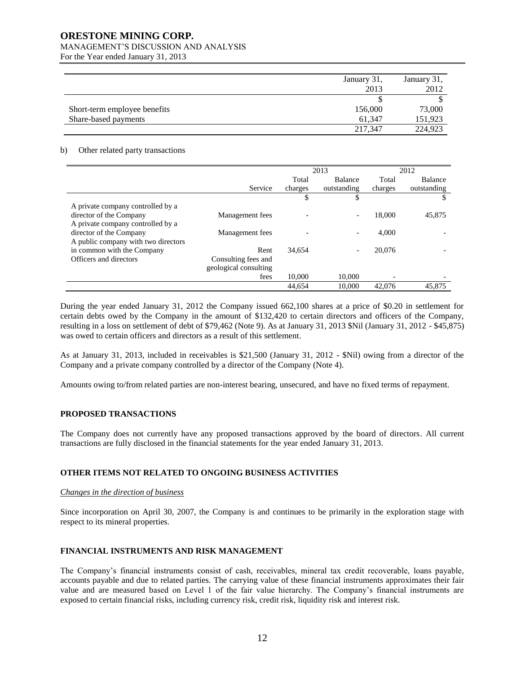## **ORESTONE MINING CORP.**

## MANAGEMENT'S DISCUSSION AND ANALYSIS

For the Year ended January 31, 2013

|                              | January 31, | January 31, |
|------------------------------|-------------|-------------|
|                              | 2013        | 2012        |
|                              |             |             |
| Short-term employee benefits | 156,000     | 73,000      |
| Share-based payments         | 61.347      | 151,923     |
|                              | 217.347     | 224,923     |

#### b) Other related party transactions

|                                     | 2013                  |         | 2012           |         |                |
|-------------------------------------|-----------------------|---------|----------------|---------|----------------|
|                                     |                       | Total   | <b>Balance</b> | Total   | <b>Balance</b> |
|                                     | Service               | charges | outstanding    | charges | outstanding    |
|                                     |                       | \$      | S              |         | S              |
| A private company controlled by a   |                       |         |                |         |                |
| director of the Company             | Management fees       |         |                | 18,000  | 45,875         |
| A private company controlled by a   |                       |         |                |         |                |
| director of the Company             | Management fees       |         |                | 4.000   |                |
| A public company with two directors |                       |         |                |         |                |
| in common with the Company          | Rent                  | 34.654  |                | 20,076  |                |
| Officers and directors              | Consulting fees and   |         |                |         |                |
|                                     | geological consulting |         |                |         |                |
|                                     | fees                  | 10,000  | 10,000         |         |                |
|                                     |                       | 44.654  | 10.000         | 42,076  | 45.875         |

During the year ended January 31, 2012 the Company issued 662,100 shares at a price of \$0.20 in settlement for certain debts owed by the Company in the amount of \$132,420 to certain directors and officers of the Company, resulting in a loss on settlement of debt of \$79,462 (Note 9). As at January 31, 2013 \$Nil (January 31, 2012 - \$45,875) was owed to certain officers and directors as a result of this settlement.

As at January 31, 2013, included in receivables is \$21,500 (January 31, 2012 - \$Nil) owing from a director of the Company and a private company controlled by a director of the Company (Note 4).

Amounts owing to/from related parties are non-interest bearing, unsecured, and have no fixed terms of repayment.

## **PROPOSED TRANSACTIONS**

The Company does not currently have any proposed transactions approved by the board of directors. All current transactions are fully disclosed in the financial statements for the year ended January 31, 2013.

## **OTHER ITEMS NOT RELATED TO ONGOING BUSINESS ACTIVITIES**

## *Changes in the direction of business*

Since incorporation on April 30, 2007, the Company is and continues to be primarily in the exploration stage with respect to its mineral properties.

## **FINANCIAL INSTRUMENTS AND RISK MANAGEMENT**

The Company's financial instruments consist of cash, receivables, mineral tax credit recoverable, loans payable, accounts payable and due to related parties. The carrying value of these financial instruments approximates their fair value and are measured based on Level 1 of the fair value hierarchy. The Company's financial instruments are exposed to certain financial risks, including currency risk, credit risk, liquidity risk and interest risk.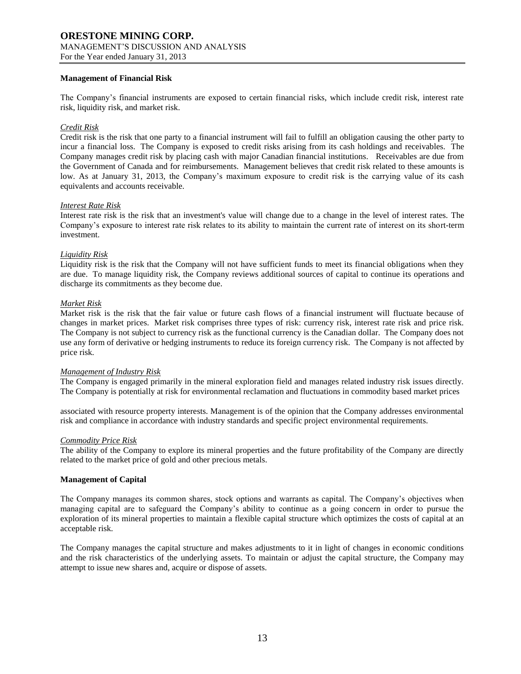#### **Management of Financial Risk**

The Company's financial instruments are exposed to certain financial risks, which include credit risk, interest rate risk, liquidity risk, and market risk.

#### *Credit Risk*

Credit risk is the risk that one party to a financial instrument will fail to fulfill an obligation causing the other party to incur a financial loss. The Company is exposed to credit risks arising from its cash holdings and receivables. The Company manages credit risk by placing cash with major Canadian financial institutions. Receivables are due from the Government of Canada and for reimbursements. Management believes that credit risk related to these amounts is low. As at January 31, 2013, the Company's maximum exposure to credit risk is the carrying value of its cash equivalents and accounts receivable.

#### *Interest Rate Risk*

Interest rate risk is the risk that an investment's value will change due to a change in the level of interest rates. The Company's exposure to interest rate risk relates to its ability to maintain the current rate of interest on its short-term investment.

#### *Liquidity Risk*

Liquidity risk is the risk that the Company will not have sufficient funds to meet its financial obligations when they are due. To manage liquidity risk, the Company reviews additional sources of capital to continue its operations and discharge its commitments as they become due.

#### *Market Risk*

Market risk is the risk that the fair value or future cash flows of a financial instrument will fluctuate because of changes in market prices. Market risk comprises three types of risk: currency risk, interest rate risk and price risk. The Company is not subject to currency risk as the functional currency is the Canadian dollar. The Company does not use any form of derivative or hedging instruments to reduce its foreign currency risk. The Company is not affected by price risk.

#### *Management of Industry Risk*

The Company is engaged primarily in the mineral exploration field and manages related industry risk issues directly. The Company is potentially at risk for environmental reclamation and fluctuations in commodity based market prices

associated with resource property interests. Management is of the opinion that the Company addresses environmental risk and compliance in accordance with industry standards and specific project environmental requirements.

#### *Commodity Price Risk*

The ability of the Company to explore its mineral properties and the future profitability of the Company are directly related to the market price of gold and other precious metals.

#### **Management of Capital**

The Company manages its common shares, stock options and warrants as capital. The Company's objectives when managing capital are to safeguard the Company's ability to continue as a going concern in order to pursue the exploration of its mineral properties to maintain a flexible capital structure which optimizes the costs of capital at an acceptable risk.

The Company manages the capital structure and makes adjustments to it in light of changes in economic conditions and the risk characteristics of the underlying assets. To maintain or adjust the capital structure, the Company may attempt to issue new shares and, acquire or dispose of assets.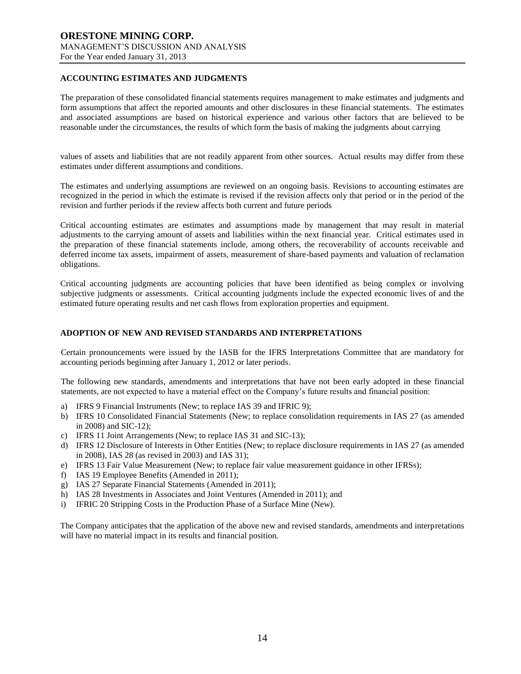## **ACCOUNTING ESTIMATES AND JUDGMENTS**

The preparation of these consolidated financial statements requires management to make estimates and judgments and form assumptions that affect the reported amounts and other disclosures in these financial statements. The estimates and associated assumptions are based on historical experience and various other factors that are believed to be reasonable under the circumstances, the results of which form the basis of making the judgments about carrying

values of assets and liabilities that are not readily apparent from other sources. Actual results may differ from these estimates under different assumptions and conditions.

The estimates and underlying assumptions are reviewed on an ongoing basis. Revisions to accounting estimates are recognized in the period in which the estimate is revised if the revision affects only that period or in the period of the revision and further periods if the review affects both current and future periods

Critical accounting estimates are estimates and assumptions made by management that may result in material adjustments to the carrying amount of assets and liabilities within the next financial year. Critical estimates used in the preparation of these financial statements include, among others, the recoverability of accounts receivable and deferred income tax assets, impairment of assets, measurement of share-based payments and valuation of reclamation obligations.

Critical accounting judgments are accounting policies that have been identified as being complex or involving subjective judgments or assessments. Critical accounting judgments include the expected economic lives of and the estimated future operating results and net cash flows from exploration properties and equipment.

#### **ADOPTION OF NEW AND REVISED STANDARDS AND INTERPRETATIONS**

Certain pronouncements were issued by the IASB for the IFRS Interpretations Committee that are mandatory for accounting periods beginning after January 1, 2012 or later periods.

The following new standards, amendments and interpretations that have not been early adopted in these financial statements, are not expected to have a material effect on the Company's future results and financial position:

- a) IFRS 9 Financial Instruments (New; to replace IAS 39 and IFRIC 9);
- b) IFRS 10 Consolidated Financial Statements (New; to replace consolidation requirements in IAS 27 (as amended in 2008) and SIC-12);
- c) IFRS 11 Joint Arrangements (New; to replace IAS 31 and SIC-13);
- d) IFRS 12 Disclosure of Interests in Other Entities (New; to replace disclosure requirements in IAS 27 (as amended in 2008), IAS 28 (as revised in 2003) and IAS 31);
- e) IFRS 13 Fair Value Measurement (New; to replace fair value measurement guidance in other IFRSs);
- f) IAS 19 Employee Benefits (Amended in 2011);
- g) IAS 27 Separate Financial Statements (Amended in 2011);
- h) IAS 28 Investments in Associates and Joint Ventures (Amended in 2011); and
- i) IFRIC 20 Stripping Costs in the Production Phase of a Surface Mine (New).

The Company anticipates that the application of the above new and revised standards, amendments and interpretations will have no material impact in its results and financial position.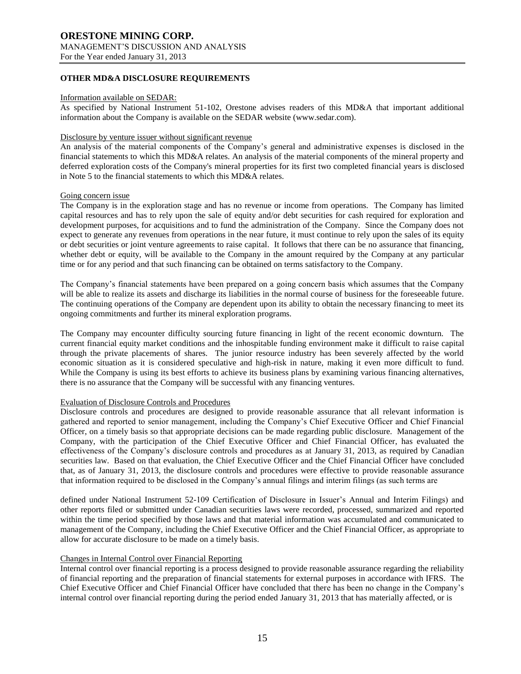For the Year ended January 31, 2013

## **OTHER MD&A DISCLOSURE REQUIREMENTS**

#### Information available on SEDAR:

As specified by National Instrument 51-102, Orestone advises readers of this MD&A that important additional information about the Company is available on the SEDAR website (www.sedar.com).

## Disclosure by venture issuer without significant revenue

An analysis of the material components of the Company's general and administrative expenses is disclosed in the financial statements to which this MD&A relates. An analysis of the material components of the mineral property and deferred exploration costs of the Company's mineral properties for its first two completed financial years is disclosed in Note 5 to the financial statements to which this MD&A relates.

#### Going concern issue

The Company is in the exploration stage and has no revenue or income from operations. The Company has limited capital resources and has to rely upon the sale of equity and/or debt securities for cash required for exploration and development purposes, for acquisitions and to fund the administration of the Company. Since the Company does not expect to generate any revenues from operations in the near future, it must continue to rely upon the sales of its equity or debt securities or joint venture agreements to raise capital. It follows that there can be no assurance that financing, whether debt or equity, will be available to the Company in the amount required by the Company at any particular time or for any period and that such financing can be obtained on terms satisfactory to the Company.

The Company's financial statements have been prepared on a going concern basis which assumes that the Company will be able to realize its assets and discharge its liabilities in the normal course of business for the foreseeable future. The continuing operations of the Company are dependent upon its ability to obtain the necessary financing to meet its ongoing commitments and further its mineral exploration programs.

The Company may encounter difficulty sourcing future financing in light of the recent economic downturn. The current financial equity market conditions and the inhospitable funding environment make it difficult to raise capital through the private placements of shares. The junior resource industry has been severely affected by the world economic situation as it is considered speculative and high-risk in nature, making it even more difficult to fund. While the Company is using its best efforts to achieve its business plans by examining various financing alternatives, there is no assurance that the Company will be successful with any financing ventures.

#### Evaluation of Disclosure Controls and Procedures

Disclosure controls and procedures are designed to provide reasonable assurance that all relevant information is gathered and reported to senior management, including the Company's Chief Executive Officer and Chief Financial Officer, on a timely basis so that appropriate decisions can be made regarding public disclosure. Management of the Company, with the participation of the Chief Executive Officer and Chief Financial Officer, has evaluated the effectiveness of the Company's disclosure controls and procedures as at January 31, 2013, as required by Canadian securities law. Based on that evaluation, the Chief Executive Officer and the Chief Financial Officer have concluded that, as of January 31, 2013, the disclosure controls and procedures were effective to provide reasonable assurance that information required to be disclosed in the Company's annual filings and interim filings (as such terms are

defined under National Instrument 52-109 Certification of Disclosure in Issuer's Annual and Interim Filings) and other reports filed or submitted under Canadian securities laws were recorded, processed, summarized and reported within the time period specified by those laws and that material information was accumulated and communicated to management of the Company, including the Chief Executive Officer and the Chief Financial Officer, as appropriate to allow for accurate disclosure to be made on a timely basis.

#### Changes in Internal Control over Financial Reporting

Internal control over financial reporting is a process designed to provide reasonable assurance regarding the reliability of financial reporting and the preparation of financial statements for external purposes in accordance with IFRS. The Chief Executive Officer and Chief Financial Officer have concluded that there has been no change in the Company's internal control over financial reporting during the period ended January 31, 2013 that has materially affected, or is